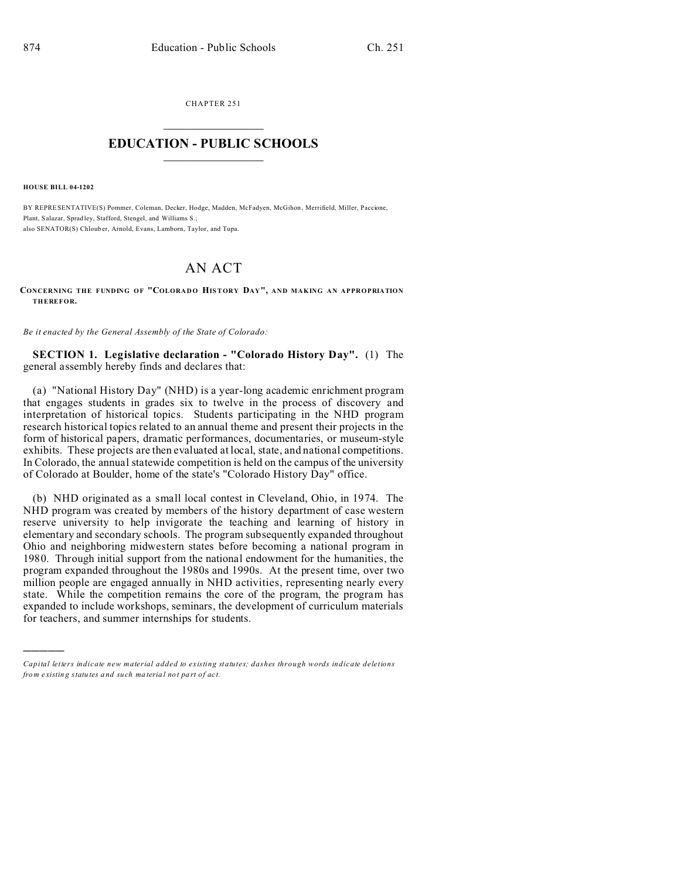CHAPTER 251  $\overline{\phantom{a}}$  , where  $\overline{\phantom{a}}$ 

## **EDUCATION - PUBLIC SCHOOLS**  $\_$   $\_$   $\_$   $\_$   $\_$   $\_$   $\_$   $\_$   $\_$

**HOUSE BILL 04-1202**

)))))

BY REPRESENTATIVE(S) Pommer, Coleman, Decker, Hodge, Madden, McFadyen, McGihon , Merrifield, Miller, Paccione, Plant, Salazar, Sprad ley, Stafford, Stengel, and Williams S.; also SENATOR(S) Chloub er, Arnold, Evans, Lamborn, Taylor, and Tupa.

## AN ACT

**CONCERNING THE FUNDING OF "COLORADO HISTORY DAY", AND MAKING AN APPROPRIATION THEREFOR.**

*Be it enacted by the General Assembly of the State of Colorado:*

**SECTION 1. Legislative declaration - "Colorado History Day".** (1) The general assembly hereby finds and declares that:

(a) "National History Day" (NHD) is a year-long academic enrichment program that engages students in grades six to twelve in the process of discovery and interpretation of historical topics. Students participating in the NHD program research historical topics related to an annual theme and present their projects in the form of historical papers, dramatic performances, documentaries, or museum-style exhibits. These projects are then evaluated at local, state, and national competitions. In Colorado, the annual statewide competition is held on the campus of the university of Colorado at Boulder, home of the state's "Colorado History Day" office.

(b) NHD originated as a small local contest in Cleveland, Ohio, in 1974. The NHD program was created by members of the history department of case western reserve university to help invigorate the teaching and learning of history in elementary and secondary schools. The program subsequently expanded throughout Ohio and neighboring midwestern states before becoming a national program in 1980. Through initial support from the national endowment for the humanities, the program expanded throughout the 1980s and 1990s. At the present time, over two million people are engaged annually in NHD activities, representing nearly every state. While the competition remains the core of the program, the program has expanded to include workshops, seminars, the development of curriculum materials for teachers, and summer internships for students.

*Capital letters indicate new material added to existing statutes; dashes through words indicate deletions from e xistin g statu tes a nd such ma teria l no t pa rt of ac t.*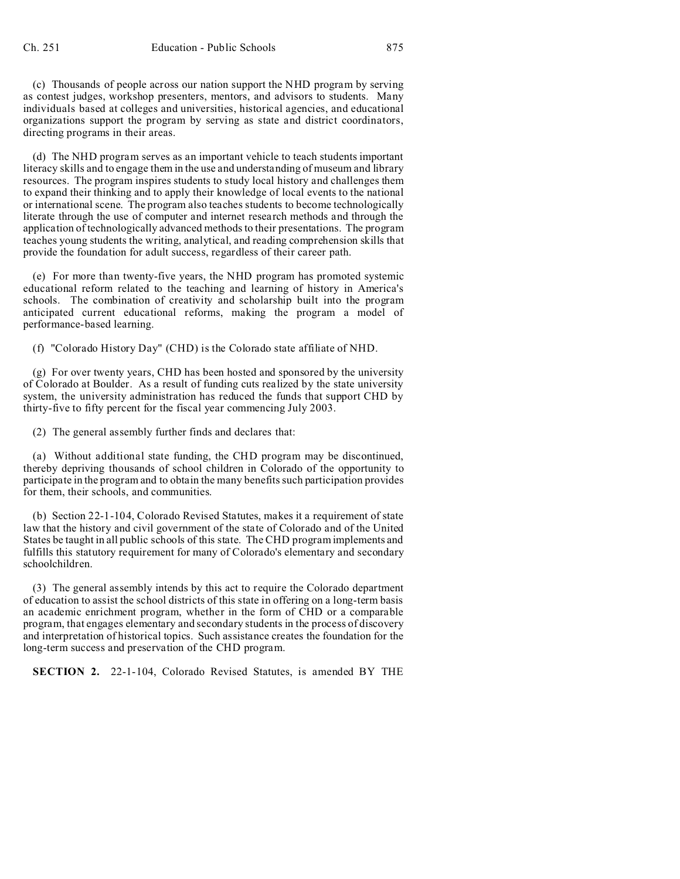(c) Thousands of people across our nation support the NHD program by serving as contest judges, workshop presenters, mentors, and advisors to students. Many individuals based at colleges and universities, historical agencies, and educational organizations support the program by serving as state and district coordinators, directing programs in their areas.

(d) The NHD program serves as an important vehicle to teach students important literacy skills and to engage them in the use and understanding of museum and library resources. The program inspires students to study local history and challenges them to expand their thinking and to apply their knowledge of local events to the national or international scene. The program also teaches students to become technologically literate through the use of computer and internet research methods and through the application of technologically advanced methods to their presentations. The program teaches young students the writing, analytical, and reading comprehension skills that provide the foundation for adult success, regardless of their career path.

(e) For more than twenty-five years, the NHD program has promoted systemic educational reform related to the teaching and learning of history in America's schools. The combination of creativity and scholarship built into the program anticipated current educational reforms, making the program a model of performance-based learning.

(f) "Colorado History Day" (CHD) is the Colorado state affiliate of NHD.

(g) For over twenty years, CHD has been hosted and sponsored by the university of Colorado at Boulder. As a result of funding cuts realized by the state university system, the university administration has reduced the funds that support CHD by thirty-five to fifty percent for the fiscal year commencing July 2003.

(2) The general assembly further finds and declares that:

(a) Without additional state funding, the CHD program may be discontinued, thereby depriving thousands of school children in Colorado of the opportunity to participate in the program and to obtain the many benefits such participation provides for them, their schools, and communities.

(b) Section 22-1-104, Colorado Revised Statutes, makes it a requirement of state law that the history and civil government of the state of Colorado and of the United States be taught in all public schools of this state. The CHD program implements and fulfills this statutory requirement for many of Colorado's elementary and secondary schoolchildren.

(3) The general assembly intends by this act to require the Colorado department of education to assist the school districts of this state in offering on a long-term basis an academic enrichment program, whether in the form of CHD or a comparable program, that engages elementary and secondary students in the process of discovery and interpretation of historical topics. Such assistance creates the foundation for the long-term success and preservation of the CHD program.

**SECTION 2.** 22-1-104, Colorado Revised Statutes, is amended BY THE